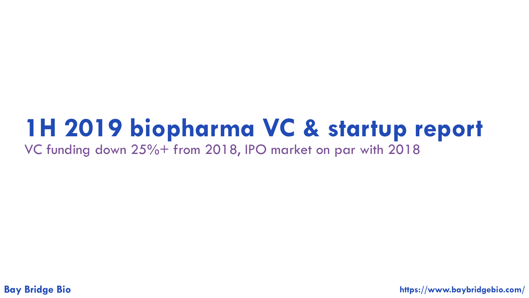# **1H 2019 biopharma VC & startup report**

VC funding down 25%+ from 2018, IPO market on par with 2018

**Bay Bridge Bio https://www.baybridgebio.com/**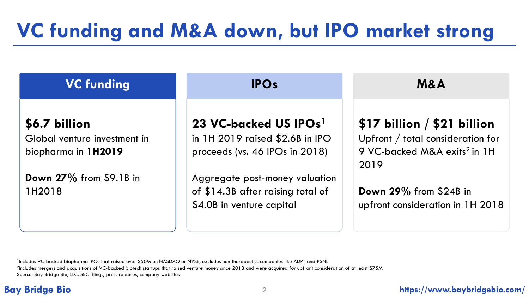# **VC funding and M&A down, but IPO market strong**

| <b>VC funding</b>                                                    | <b>IPOs</b>                                                                                              | <b>M&amp;A</b>                                                                                                       |  |
|----------------------------------------------------------------------|----------------------------------------------------------------------------------------------------------|----------------------------------------------------------------------------------------------------------------------|--|
| \$6.7 billion<br>Global venture investment in<br>biopharma in 1H2019 | 23 VC-backed US IPOs <sup>1</sup><br>in $1H$ 2019 raised \$2.6B in IPO<br>proceeds (vs. 46 IPOs in 2018) | \$17 billion / \$21 billion<br>Upfront / total consideration for<br>9 VC-backed M&A exits <sup>2</sup> in 1H<br>2019 |  |
| <b>Down 27%</b> from \$9.1B in<br>1H2018                             | Aggregate post-money valuation<br>of \$14.3B after raising total of<br>\$4.0B in venture capital         | Down 29% from \$24B in<br>upfront consideration in 1H 2018                                                           |  |

<sup>1</sup>Includes VC-backed biopharma IPOs that raised over \$50M on NASDAQ or NYSE, excludes non-therapeutics companies like ADPT and PSNL <sup>2</sup>Includes mergers and acquisitions of VC-backed biotech startups that raised venture money since 2013 and were acquired for upfront consideration of at least \$75M Source: Bay Bridge Bio, LLC, SEC filings, press releases, company websites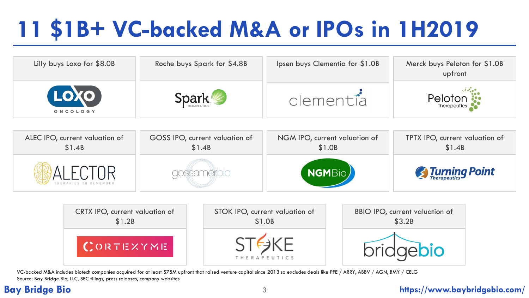# **11 \$1B+ VC-backed M&A or IPOs in 1H2019**

| Lilly buys Loxo for \$8.0B | Roche buys Spark for \$4.8B | Ipsen buys Clementia for \$1.0B | Merck buys Peloton for \$1.0B<br>upfront |
|----------------------------|-----------------------------|---------------------------------|------------------------------------------|
| LOXO<br>ONCOLOGY           | <b>Spark</b>                | clementia                       | <b>PIOTON</b>                            |

| ALEC IPO, current valuation of | GOSS IPO, current valuation of | NGM IPO, current valuation of | TPTX IPO, current valuation of |  |
|--------------------------------|--------------------------------|-------------------------------|--------------------------------|--|
| \$1.4B                         | \$1.4B                         | \$1.0B                        | \$1.4B                         |  |
| RAPIES TO REMEMBER             |                                | <b>NGMBio</b>                 | <b>Examing Point</b>           |  |



VC-backed M&A includes biotech companies acquired for at least \$75M upfront that raised venture capital since 2013 so excludes deals like PFE / ARRY, ABBV / AGN, BMY / CELG Source: Bay Bridge Bio, LLC, SEC filings, press releases, company websites

## **Bay Bridge Bio** 3 **https://www.baybridgebio.com/**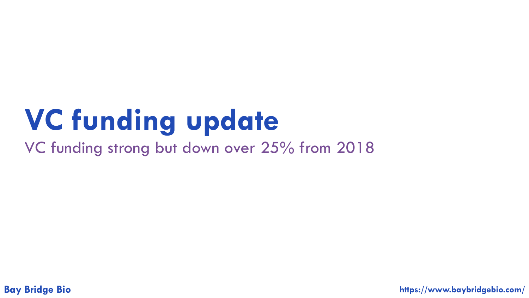# **VC funding update**

VC funding strong but down over 25% from 2018

**Bay Bridge Bio https://www.baybridgebio.com/**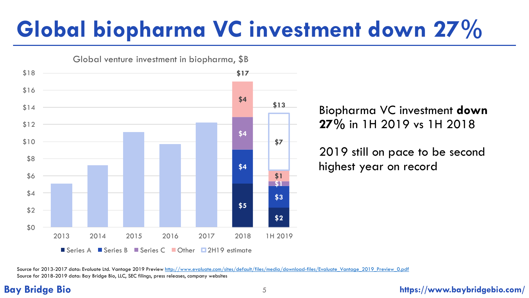# **Global biopharma VC investment down 27%**



Biopharma VC investment **down 27%** in 1H 2019 vs 1H 2018

2019 still on pace to be second highest year on record

Source for 2013-2017 data: Evaluate Ltd. Vantage 2019 Preview [http://www.evaluate.com/sites/default/files/media/download-files/Evaluate\\_Vantage\\_2019\\_Preview\\_0.pdf](http://www.evaluate.com/sites/default/files/media/download-files/Evaluate_Vantage_2019_Preview_0.pdf) Source for 2018-2019 data: Bay Bridge Bio, LLC, SEC filings, press releases, company websites

### **Bay Bridge Bio** 5 **https://www.baybridgebio.com/**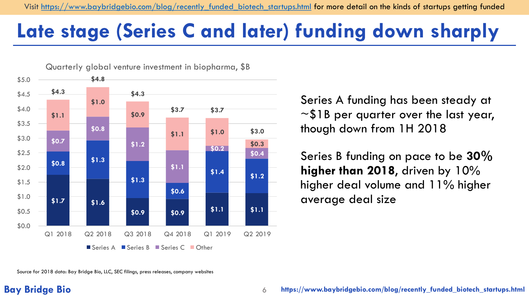## **Late stage (Series C and later) funding down sharply**



Series A funding has been steady at  $\sim$ \$1B per quarter over the last year, though down from 1H 2018

Series B funding on pace to be **30% higher than 2018**, driven by 10% higher deal volume and 11% higher average deal size

Source for 2018 data: Bay Bridge Bio, LLC, SEC filings, press releases, company websites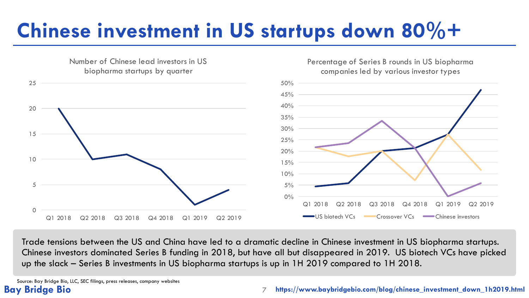# **Chinese investment in US startups down 80%+**



Trade tensions between the US and China have led to a dramatic decline in Chinese investment in US biopharma startups. Chinese investors dominated Series B funding in 2018, but have all but disappeared in 2019. US biotech VCs have picked up the slack – Series B investments in US biopharma startups is up in 1H 2019 compared to 1H 2018.

Source: Bay Bridge Bio, LLC, SEC filings, press releases, company websites

### **Bay Bridge Bio** 7 **https://www.baybridgebio.com/blog/chinese\_investment\_down\_1h2019.html**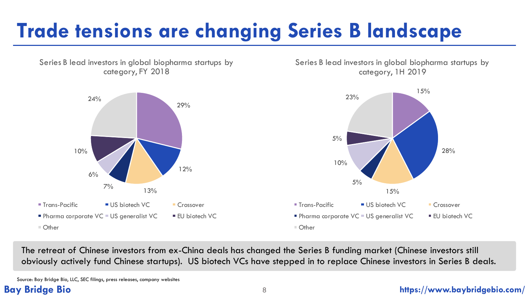# **Trade tensions are changing Series B landscape**

Series B lead investors in global biopharma startups by category, FY 2018

Series B lead investors in global biopharma startups by category, 1H 2019



The retreat of Chinese investors from ex-China deals has changed the Series B funding market (Chinese investors still obviously actively fund Chinese startups). US biotech VCs have stepped in to replace Chinese investors in Series B deals.

Source: Bay Bridge Bio, LLC, SEC filings, press releases, company websites

### **Bay Bridge Bio** 8 **https://www.baybridgebio.com/**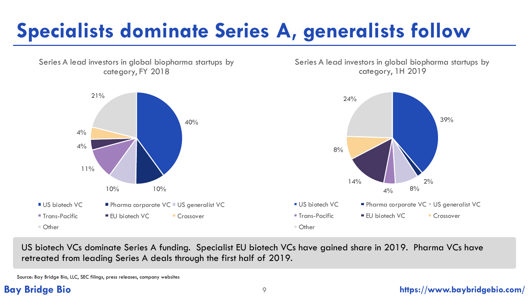# **Specialists dominate Series A, generalists follow**

Series A lead investors in global biopharma startups by category, FY 2018

Series A lead investors in global biopharma startups by category, 1H 2019



US biotech VCs dominate Series A funding. Specialist EU biotech VCs have gained share in 2019. Pharma VCs have retreated from leading Series A deals through the first half of 2019.

Source: Bay Bridge Bio, LLC, SEC filings, press releases, company websites

### **Bay Bridge Bio** 9 **https://www.baybridgebio.com/**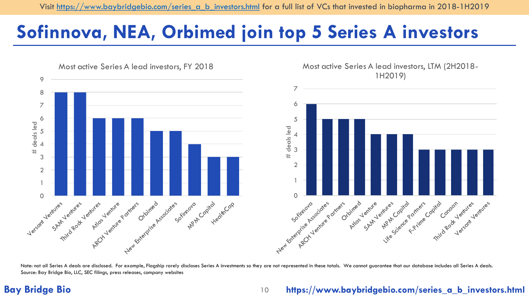## **Sofinnova, NEA, Orbimed join top 5 Series A investors**



Note: not all Series A deals are disclosed. For example, Flagship rarely discloses Series A investments so they are not represented in these totals. We cannot guarantee that our database includes all Series A deals. Source: Bay Bridge Bio, LLC, SEC filings, press releases, company websites

## **Bay Bridge Bio** 10

## **https://www.baybridgebio.com/series\_a\_b\_investors.html**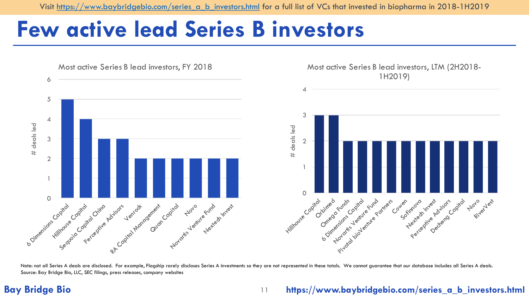Visit [https://www.baybridgebio.com/series\\_a\\_b\\_investors.html](https://www.baybridgebio.com/series_a_b_investors.html) for a full list of VCs that invested in biopharma in 2018-1H2019

## **Few active lead Series B investors**



Note: not all Series A deals are disclosed. For example, Flagship rarely discloses Series A investments so they are not represented in these totals. We cannot guarantee that our database includes all Series A deals. Source: Bay Bridge Bio, LLC, SEC filings, press releases, company websites

## **Bay Bridge Bio** 11

## **https://www.baybridgebio.com/series\_a\_b\_investors.html**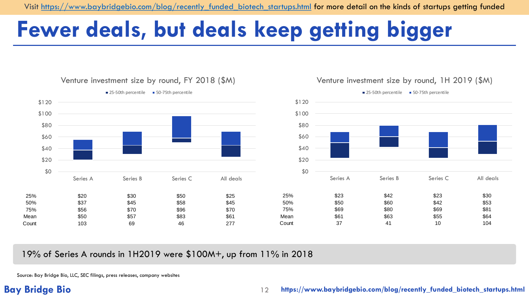Visit [https://www.baybridgebio.com/blog/recently\\_funded\\_biotech\\_startups.html](https://www.baybridgebio.com/blog/recently_funded_biotech_startups.html) for more detail on the kinds of startups getting funded

## **Fewer deals, but deals keep getting bigger**







19% of Series A rounds in 1H2019 were \$100M+, up from 11% in 2018

Source: Bay Bridge Bio, LLC, SEC filings, press releases, company websites

## **Bay Bridge Bio** 12

### **https://www.baybridgebio.com/blog/recently\_funded\_biotech\_startups.html**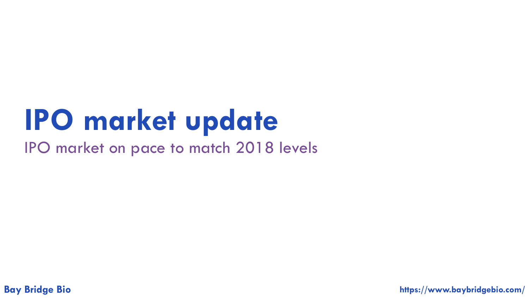# **IPO market update**

IPO market on pace to match 2018 levels

**Bay Bridge Bio https://www.baybridgebio.com/**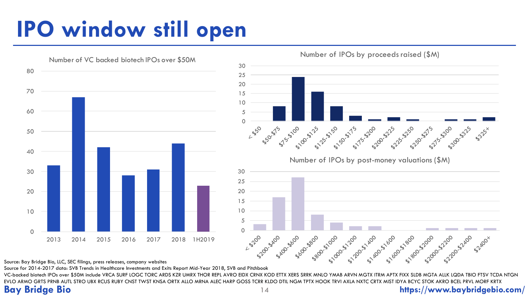# **IPO window still open**



Number of IPOs by proceeds raised (\$M)

Source: Bay Bridge Bio, LLC, SEC filings, press releases, company websites

Source for 2014-2017 data: SVB Trends in Healthcare Investments and Exits Report Mid-Year 2018, SVB and Pitchbook

VC-backed biotech IPOs over \$50M include VRCA SURF LOGC TORC ARDS KZR UMRX THOR REPL AVRO EIDX CRNX KOD ETTX XERS SRRK MNLO YMAB ARVN MGTX ITRM APTX FIXX SLDB MGTA ALLK LQDA TBIO FTSV TCDA NTGN EVLO ARMO GRTS PRNB AUTL STRO UBX RCUS RUBY CNST TWST KNSA ORTX ALLO MRNA ALEC HARP GOSS TCRR KLDO DTIL NGM TPTX HOOK TRVI AXLA NXTC CRTX MIST IDYA BCYC STOK AKRO BCEL PRVL MORF KRTX

## **Bay Bridge Bio** 14 **https://www.baybridgebio.com/**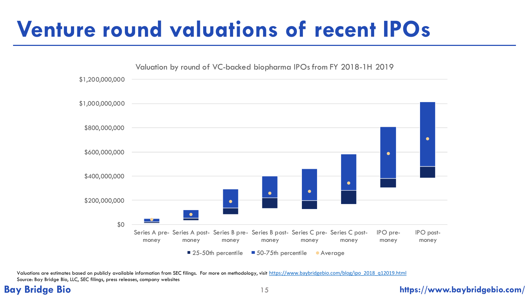# **Venture round valuations of recent IPOs**



Valuations are estimates based on publicly available information from SEC filings. For more on methodology, visit [https://www.baybridgebio.com/blog/ipo\\_2018\\_q12019.html](https://www.baybridgebio.com/blog/ipo_2018_q12019.html) Source: Bay Bridge Bio, LLC, SEC filings, press releases, company websites

### **Bay Bridge Bio** 15 **https://www.baybridgebio.com/**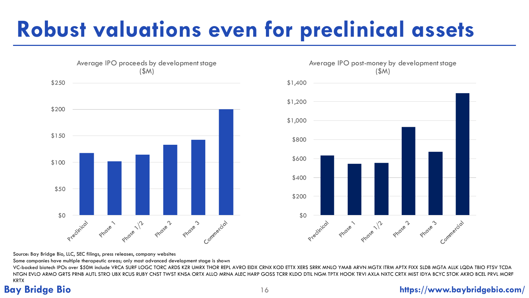# **Robust valuations even for preclinical assets**





Average IPO post-money by development stage

Source: Bay Bridge Bio, LLC, SEC filings, press releases, company websites

Some companies have multiple therapeutic areas; only most advanced development stage is shown

**Bay Bridge Bio** LIC, SEC Filings, press releases, company websites on the state of the state of the state of the state of the state of the state of the state of the state of the state of the state of the state of the stat VC-backed biotech IPOs over \$50M include VRCA SURF LOGC TORC ARDS KZR UMRX THOR REPL AVRO EIDX CRNX KOD ETTX XERS SRRK MNLO YMAB ARVN MGTX ITRM APTX FIXX SLDB MGTA ALLK LQDA TBIO FTSV TCDA NTGN EVLO ARMO GRTS PRNB AUTL STRO UBX RCUS RUBY CNST TWST KNSA ORTX ALLO MRNA ALEC HARP GOSS TCRR KLDO DTIL NGM TPTX HOOK TRVI AXLA NXTC CRTX MIST IDYA BCYC STOK AKRO BCEL PRVL MORF KRTX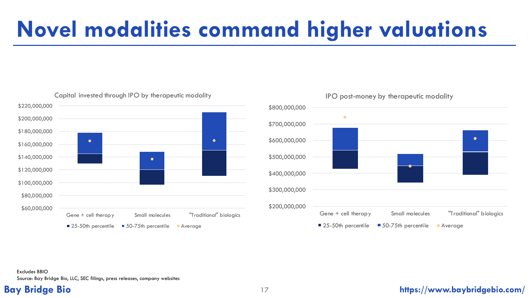# **Novel modalities command higher valuations**





### IPO post-money by therapeutic modality

### Excludes BBIO Source: Bay Bridge Bio, LLC, SEC filings, press releases, company websites

### **Bay Bridge Bio** 17 **https://www.baybridgebio.com/**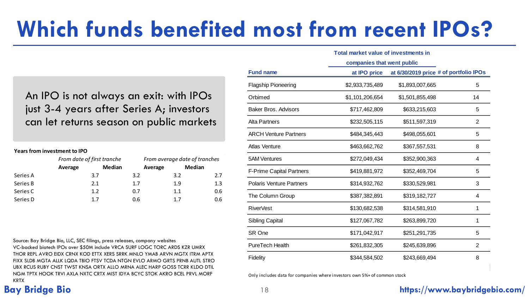# **Which funds benefited most from recent IPOs?**

An IPO is not always an exit: with IPOs just 3-4 years after Series A; investors can let returns season on public markets

### **Years from investment to IPO**

|          | From date of first tranche |        | From average date of tranches |               |     |
|----------|----------------------------|--------|-------------------------------|---------------|-----|
|          | Average                    | Median | Average                       | <b>Median</b> |     |
| Series A |                            | 3.7    | 3.2                           | 3.2           | 2.7 |
| Series B |                            | 2.1    | 1.7                           | 1.9           | 1.3 |
| Series C |                            | 1.2    | 0.7                           | 1.1           | 0.6 |
| Series D |                            | 17     | 0.6                           | 17            | 0.6 |

Source: Bay Bridge Bio, LLC, SEC filings, press releases, company websites VC-backed biotech IPOs over \$50M include VRCA SURF LOGC TORC ARDS KZR UMRX THOR REPL AVRO EIDX CRNX KOD ETTX XERS SRRK MNLO YMAB ARVN MGTX ITRM APTX FIXX SLDB MGTA ALLK LQDA TBIO FTSV TCDA NTGN EVLO ARMO GRTS PRNB AUTL STRO UBX RCUS RUBY CNST TWST KNSA ORTX ALLO MRNA ALEC HARP GOSS TCRR KLDO DTIL NGM TPTX HOOK TRVI AXLA NXTC CRTX MIST IDYA BCYC STOK AKRO BCEL PRVL MORF KRTX

|                                 | <b>Total market value of investments in</b> |                            |                                        |  |
|---------------------------------|---------------------------------------------|----------------------------|----------------------------------------|--|
|                                 |                                             | companies that went public |                                        |  |
| <b>Fund name</b>                | at IPO price                                |                            | at 6/30/2019 price # of portfolio IPOs |  |
| <b>Flagship Pioneering</b>      | \$2,933,735,489                             | \$1,893,007,665            | 5                                      |  |
| Orbimed                         | \$1,101,206,654                             | \$1,501,855,498            | 14                                     |  |
| <b>Baker Bros, Advisors</b>     | \$717,462,809                               | \$633,215,603              | 5                                      |  |
| Alta Partners                   | \$232,505,115                               | \$511,597,319              | 2                                      |  |
| <b>ARCH Venture Partners</b>    | \$484,345,443                               | \$498,055,601              | 5                                      |  |
| Atlas Venture                   | \$463,662,762                               | \$367,557,531              | 8                                      |  |
| <b>5AM Ventures</b>             | \$272,049,434                               | \$352,900,363              | 4                                      |  |
| F-Prime Capital Partners        | \$419,881,972                               | \$352,469,704              | 5                                      |  |
| <b>Polaris Venture Partners</b> | \$314,932,762                               | \$330,529,981              | 3                                      |  |
| The Column Group                | \$387,382,891                               | \$319,182,727              | 4                                      |  |
| <b>RiverVest</b>                | \$130,682,538                               | \$314,581,910              | 1                                      |  |
| <b>Sibling Capital</b>          | \$127,067,782                               | \$263,899,720              | 1                                      |  |
| SR One                          | \$171,042,917                               | \$251,291,735              | 5                                      |  |
| <b>PureTech Health</b>          | \$261,832,305                               | \$245,639,896              | 2                                      |  |
| Fidelity                        | \$344,584,502                               | \$243,669,494              | 8                                      |  |

Only includes data for companies where investors own 5%+ of common stock

## **Bay Bridge Bio** 18 **https://www.baybridgebio.com/**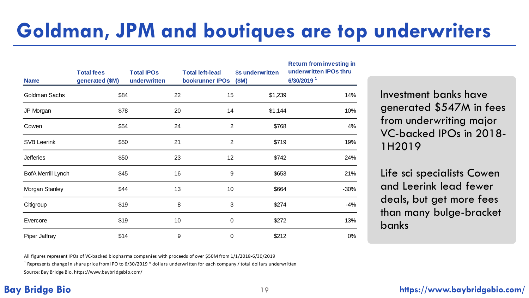## **Goldman, JPM and boutiques are top underwriters**

| <b>Name</b>               | <b>Total fees</b><br>generated (\$M) | <b>Total IPOs</b><br>underwritten |    | <b>Total left-lead</b><br>bookrunner IPOs | \$s underwritten<br>(SM) | <b>Return from investing in</b><br>underwritten IPOs thru<br>6/30/2019 <sup>1</sup> |
|---------------------------|--------------------------------------|-----------------------------------|----|-------------------------------------------|--------------------------|-------------------------------------------------------------------------------------|
| <b>Goldman Sachs</b>      | \$84                                 |                                   | 22 | 15 <sub>15</sub>                          | \$1,239                  | 14%                                                                                 |
| JP Morgan                 | \$78                                 |                                   | 20 | 14                                        | \$1,144                  | 10%                                                                                 |
| Cowen                     | \$54                                 |                                   | 24 | $\overline{2}$                            | \$768                    | 4%                                                                                  |
| <b>SVB Leerink</b>        | \$50                                 |                                   | 21 | $\overline{2}$                            | \$719                    | 19%                                                                                 |
| <b>Jefferies</b>          | \$50                                 |                                   | 23 | 12                                        | \$742                    | 24%                                                                                 |
| <b>BofA Merrill Lynch</b> | \$45                                 |                                   | 16 | 9                                         | \$653                    | 21%                                                                                 |
| Morgan Stanley            | \$44                                 |                                   | 13 | 10                                        | \$664                    | $-30%$                                                                              |
| Citigroup                 | \$19                                 |                                   | 8  | 3                                         | \$274                    | $-4%$                                                                               |
| Evercore                  | \$19                                 |                                   | 10 | $\mathbf 0$                               | \$272                    | 13%                                                                                 |
| Piper Jaffray             | \$14                                 |                                   | 9  | 0                                         | \$212                    | 0%                                                                                  |

Investment banks have generated \$547M in fees from underwriting major VC-backed IPOs in 2018- 1H2019

Life sci specialists Cowen and Leerink lead fewer deals, but get more fees than many bulge-bracket banks

All figures represent IPOs of VC-backed biopharma companies with proceeds of over \$50M from 1/1/2018-6/30/2019

 $^1$  Represents change in share price from IPO to 6/30/2019  $^*$  dollars underwritten for each company / total dollars underwritten

Source: Bay Bridge Bio, https://www.baybridgebio.com/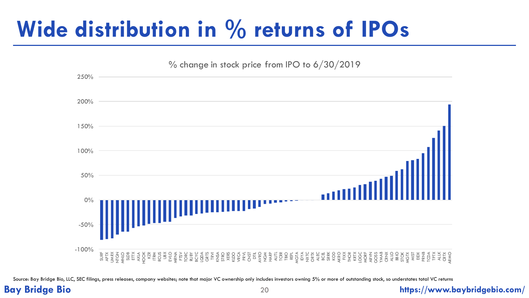# **Wide distribution in % returns of IPOs**



Source: Bay Bridge Bio, LLC, SEC filings, press releases, company websites; note that major VC ownership only includes investors owning 5% or more of outstanding stock, so understates total VC returns

## **Bay Bridge Bio** 20 **https://www.baybridgebio.com/**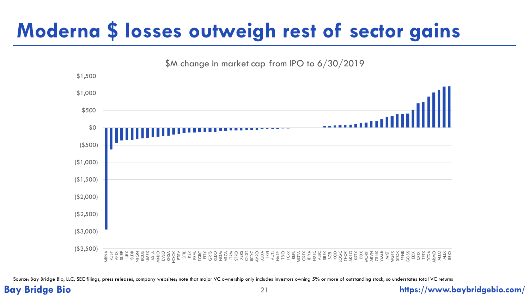## **Moderna \$ losses outweigh rest of sector gains**



Source: Bay Bridge Bio, LLC, SEC filings, press releases, company websites; note that major VC ownership only includes investors owning 5% or more of outstanding stock, so understates total VC returns

### **Bay Bridge Bio** 21 **https://www.baybridgebio.com/**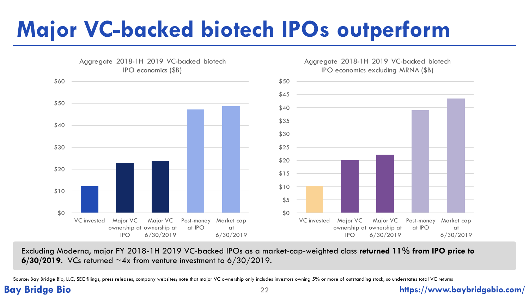# **Major VC-backed biotech IPOs outperform**



Excluding Moderna, major FY 2018-1H 2019 VC-backed IPOs as a market-cap-weighted class **returned 11% from IPO price to 6/30/2019**. VCs returned ~4x from venture investment to 6/30/2019.

Source: Bay Bridge Bio, LLC, SEC filings, press releases, company websites; note that major VC ownership only includes investors owning 5% or more of outstanding stock, so understates total VC returns

### **Bay Bridge Bio** 22 **https://www.baybridgebio.com/**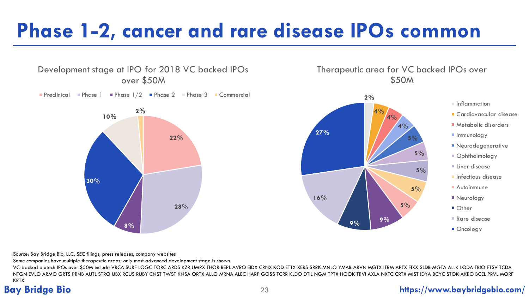## **Phase 1-2, cancer and rare disease IPOs common**







 $\blacksquare$  Inflammation

- Cardiovascular disease
- **Metabolic disorders**
- **Immunology**
- **Neurodegenerative**
- Ophthalmology
- Liver disease
- **Infectious disease**
- **Autoimmune**
- **Neurology**
- Other
- Rare disease
- Oncology

Source: Bay Bridge Bio, LLC, SEC filings, press releases, company websites

Some companies have multiple therapeutic areas; only most advanced development stage is shown

VC-backed biotech IPOs over \$50M include VRCA SURF LOGC TORC ARDS KZR UMRX THOR REPL AVRO EIDX CRNX KOD ETTX XERS SRRK MNLO YMAB ARVN MGTX ITRM APTX FIXX SLDB MGTA ALLK LQDA TBIO FTSV TCDA NTGN EVLO ARMO GRTS PRNB AUTL STRO UBX RCUS RUBY CNST TWST KNSA ORTX ALLO MRNA ALEC HARP GOSS TCRR KLDO DTIL NGM TPTX HOOK TRVI AXLA NXTC CRTX MIST IDYA BCYC STOK AKRO BCEL PRVL MORF KRTX

## **Bay Bridge Bio** 23 **https://www.baybridgebio.com/**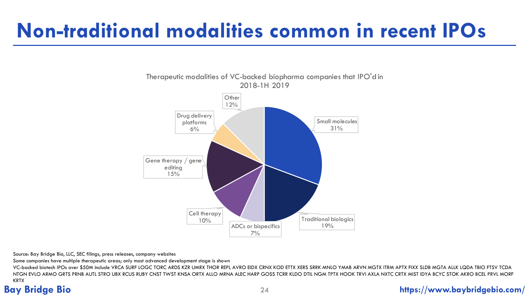## **Non-traditional modalities common in recent IPOs**

Therapeutic modalities of VC-backed biopharma companies that IPO'd in



Source: Bay Bridge Bio, LLC, SEC filings, press releases, company websites

Some companies have multiple therapeutic areas; only most advanced development stage is shown

VC-backed biotech IPOs over \$50M include VRCA SURF LOGC TORC ARDS KZR UMRX THOR REPL AVRO EIDX CRNX KOD ETTX XERS SRRK MNLO YMAB ARVN MGTX ITRM APTX FIXX SLDB MGTA ALLK LQDA TBIO FTSV TCDA NTGN EVLO ARMO GRTS PRNB AUTL STRO UBX RCUS RUBY CNST TWST KNSA ORTX ALLO MRNA ALEC HARP GOSS TCRR KLDO DTIL NGM TPTX HOOK TRVI AXLA NXTC CRTX MIST IDYA BCYC STOK AKRO BCEL PRVL MORF KRTX

## **Bay Bridge Bio** 24 **https://www.baybridgebio.com/**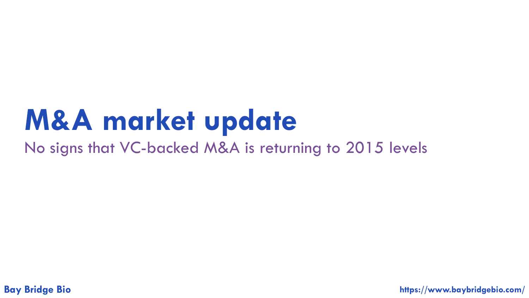# **M&A market update**

No signs that VC-backed M&A is returning to 2015 levels

**Bay Bridge Bio https://www.baybridgebio.com/**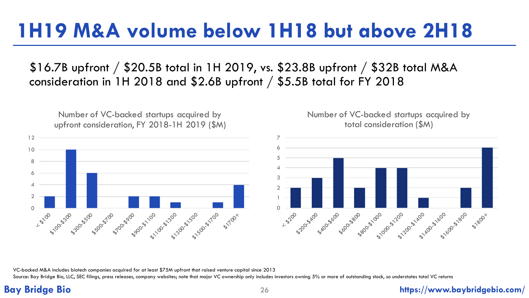## **1H19 M&A volume below 1H18 but above 2H18**

\$16.7B upfront / \$20.5B total in 1H 2019, vs. \$23.8B upfront / \$32B total M&A consideration in 1H 2018 and \$2.6B upfront / \$5.5B total for FY 2018

Number of VC-backed startups acquired by upfront consideration, FY 2018-1H 2019 (\$M)







VC-backed M&A includes biotech companies acquired for at least \$75M upfront that raised venture capital since 2013

Source: Bay Bridge Bio, LLC, SEC filings, press releases, company websites; note that major VC ownership only includes investors owning 5% or more of outstanding stock, so understates total VC returns

## **Bay Bridge Bio** 26 **https://www.baybridgebio.com/**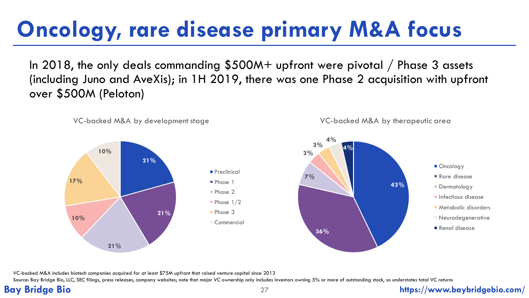# **Oncology, rare disease primary M&A focus**

In 2018, the only deals commanding \$500M+ upfront were pivotal / Phase 3 assets (including Juno and AveXis); in 1H 2019, there was one Phase 2 acquisition with upfront over \$500M (Peloton)



VC-backed M&A includes biotech companies acquired for at least \$75M upfront that raised venture capital since 2013

Source: Bay Bridge Bio, LLC, SEC filings, press releases, company websites; note that major VC ownership only includes investors owning 5% or more of outstanding stock, so understates total VC returns

## **Bay Bridge Bio** 27 **https://www.baybridgebio.com/**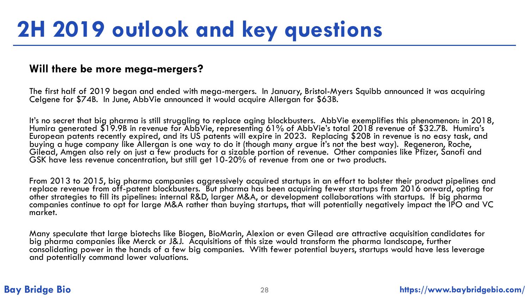## **Will there be more mega-mergers?**

The first half of 2019 began and ended with mega-mergers. In January, Bristol-Myers Squibb announced it was acquiring Celgene for \$74B. In June, AbbVie announced it would acquire Allergan for \$63B.

It's no secret that big pharma is still struggling to replace aging blockbusters. AbbVie exemplifies this phenomenon: in 2018, Humira generated \$19.9B in revenue for AbbVie, representing 61% of AbbVie's total 2018 revenue of \$32.7B. Humira's European patents recently expired, and its US patents will expire in 2023. Replacing \$20B in revenue is no easy task, and buying a huge company like Allergan is one way to do it (though many argue it's not the best way). Regeneron, Roche, Gilead, Amgen also rely on just a few products for a sizable portion of revenue. Other companies like Pfizer, Sanofi and GSK have less revenue concentration, but still get 10-20% of revenue from one or two products.

From 2013 to 2015, big pharma companies aggressively acquired startups in an effort to bolster their product pipelines and replace revenue from off-patent blockbusters. But pharma has been acquiring fewer startups from 2016 onward, opting for other strategies to fill its pipelines: internal R&D, larger M&A, or development collaborations with startups. If big pharma companies continue to opt for large M&A rather than buying startups, that will potentially negatively impact the IPO and VC market.

Many speculate that large biotechs like Biogen, BioMarin, Alexion or even Gilead are attractive acquisition candidates for big pharma companies like Merck or J&J. Acquisitions of this size would transform the pharma landscape, further consolidating power in the hands of a few big companies. With fewer potential buyers, startups would have less leverage and potentially command lower valuations.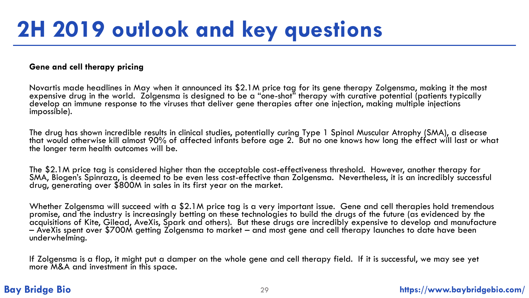### **Gene and cell therapy pricing**

Novartis made headlines in May when it announced its \$2.1M price tag for its gene therapy Zolgensma, making it the most expensive drug in the world. Zolgensma is designed to be a "one-shot" therapy with curative potential (patients typically develop an immune response to the viruses that deliver gene therapies after one injection, making multiple injections impossible).

The drug has shown incredible results in clinical studies, potentially curing Type 1 Spinal Muscular Atrophy (SMA), a disease that would otherwise kill almost 90% of affected infants before age 2. But no one knows how long the effect will last or what the longer term health outcomes will be.

The \$2.1M price tag is considered higher than the acceptable cost-effectiveness threshold. However, another therapy for SMA, Biogen's Spinraza, is deemed to be even less cost-effective than Zolgensma. Nevertheless, it is an incredibly successful drug, generating over \$800M in sales in its first year on the market.

Whether Zolgensma will succeed with a \$2.1M price tag is a very important issue. Gene and cell therapies hold tremendous promise, and the industry is increasingly betting on these technologies to build the drugs of the future (as evidenced by the acquisitions of Kite, Gilead, AveXis, Spark and others). But these drugs are incredibly expensive to develop and manufacture – AveXis spent over \$700M getting Zolgensma to market – and most gene and cell therapy launches to date have been underwhelming.

If Zolgensma is a flop, it might put a damper on the whole gene and cell therapy field. If it is successful, we may see yet more M&A and investment in this space.